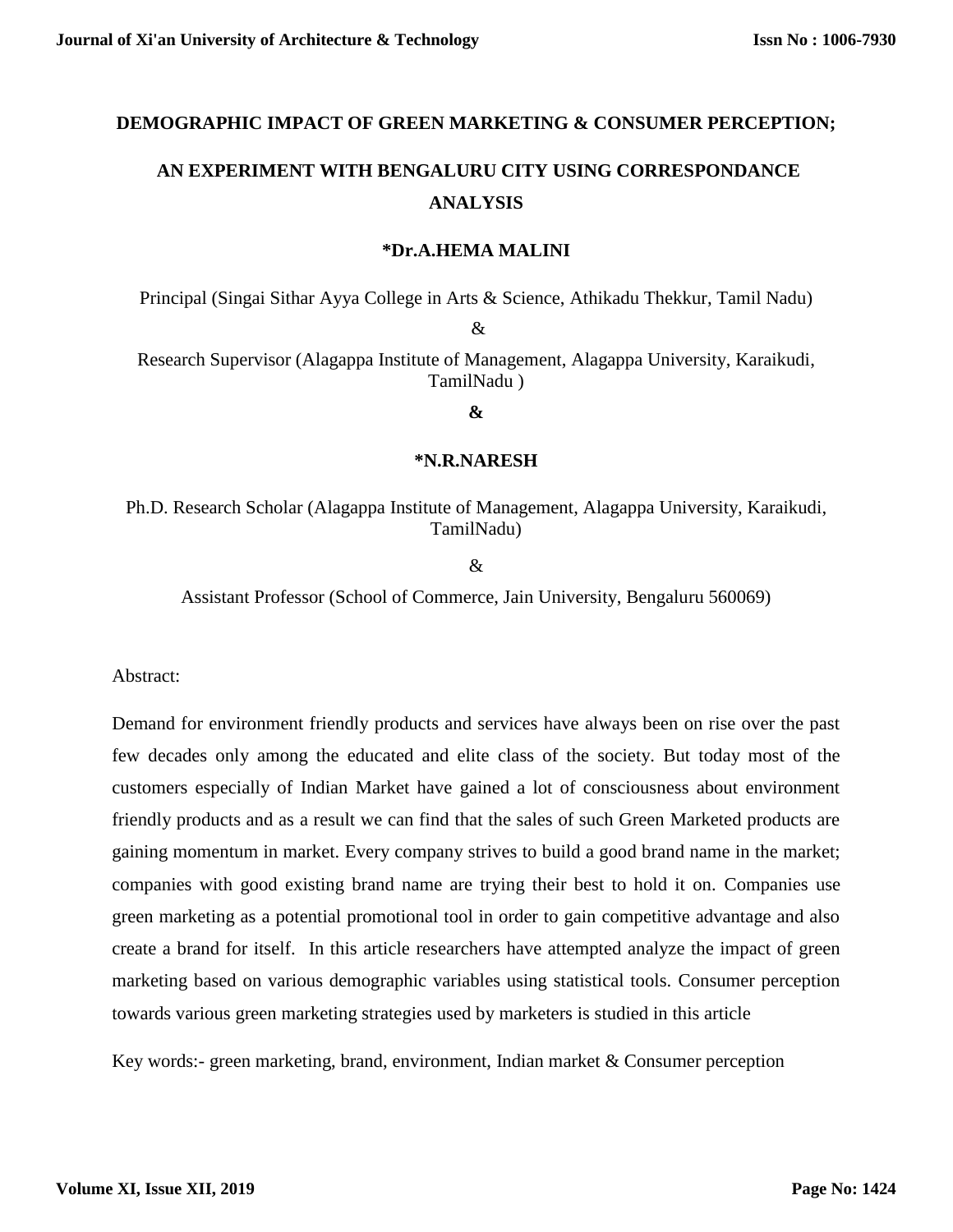# **DEMOGRAPHIC IMPACT OF GREEN MARKETING & CONSUMER PERCEPTION;**

# **AN EXPERIMENT WITH BENGALURU CITY USING CORRESPONDANCE ANALYSIS**

#### **\*Dr.A.HEMA MALINI**

Principal (Singai Sithar Ayya College in Arts & Science, Athikadu Thekkur, Tamil Nadu)

&

Research Supervisor (Alagappa Institute of Management, Alagappa University, Karaikudi, TamilNadu )

**&**

#### **\*N.R.NARESH**

# Ph.D. Research Scholar (Alagappa Institute of Management, Alagappa University, Karaikudi, TamilNadu)

&

Assistant Professor (School of Commerce, Jain University, Bengaluru 560069)

Abstract:

Demand for environment friendly products and services have always been on rise over the past few decades only among the educated and elite class of the society. But today most of the customers especially of Indian Market have gained a lot of consciousness about environment friendly products and as a result we can find that the sales of such Green Marketed products are gaining momentum in market. Every company strives to build a good brand name in the market; companies with good existing brand name are trying their best to hold it on. Companies use green marketing as a potential promotional tool in order to gain competitive advantage and also create a brand for itself. In this article researchers have attempted analyze the impact of green marketing based on various demographic variables using statistical tools. Consumer perception towards various green marketing strategies used by marketers is studied in this article

Key words:- green marketing, brand, environment, Indian market & Consumer perception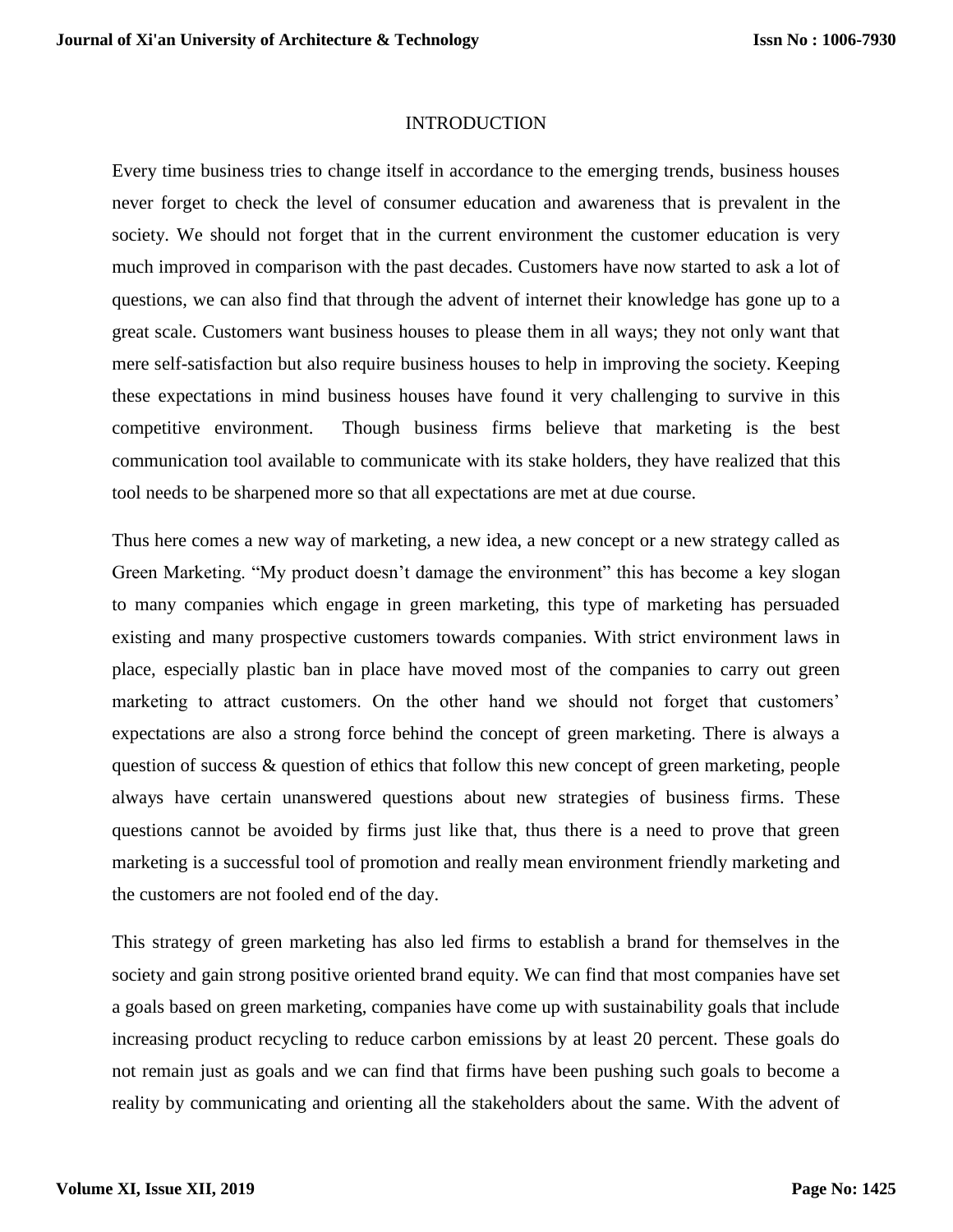#### INTRODUCTION

Every time business tries to change itself in accordance to the emerging trends, business houses never forget to check the level of consumer education and awareness that is prevalent in the society. We should not forget that in the current environment the customer education is very much improved in comparison with the past decades. Customers have now started to ask a lot of questions, we can also find that through the advent of internet their knowledge has gone up to a great scale. Customers want business houses to please them in all ways; they not only want that mere self-satisfaction but also require business houses to help in improving the society. Keeping these expectations in mind business houses have found it very challenging to survive in this competitive environment. Though business firms believe that marketing is the best communication tool available to communicate with its stake holders, they have realized that this tool needs to be sharpened more so that all expectations are met at due course.

Thus here comes a new way of marketing, a new idea, a new concept or a new strategy called as Green Marketing. "My product doesn't damage the environment" this has become a key slogan to many companies which engage in green marketing, this type of marketing has persuaded existing and many prospective customers towards companies. With strict environment laws in place, especially plastic ban in place have moved most of the companies to carry out green marketing to attract customers. On the other hand we should not forget that customers' expectations are also a strong force behind the concept of green marketing. There is always a question of success & question of ethics that follow this new concept of green marketing, people always have certain unanswered questions about new strategies of business firms. These questions cannot be avoided by firms just like that, thus there is a need to prove that green marketing is a successful tool of promotion and really mean environment friendly marketing and the customers are not fooled end of the day.

This strategy of green marketing has also led firms to establish a brand for themselves in the society and gain strong positive oriented brand equity. We can find that most companies have set a goals based on green marketing, companies have come up with sustainability goals that include increasing product recycling to reduce carbon emissions by at least 20 percent. These goals do not remain just as goals and we can find that firms have been pushing such goals to become a reality by communicating and orienting all the stakeholders about the same. With the advent of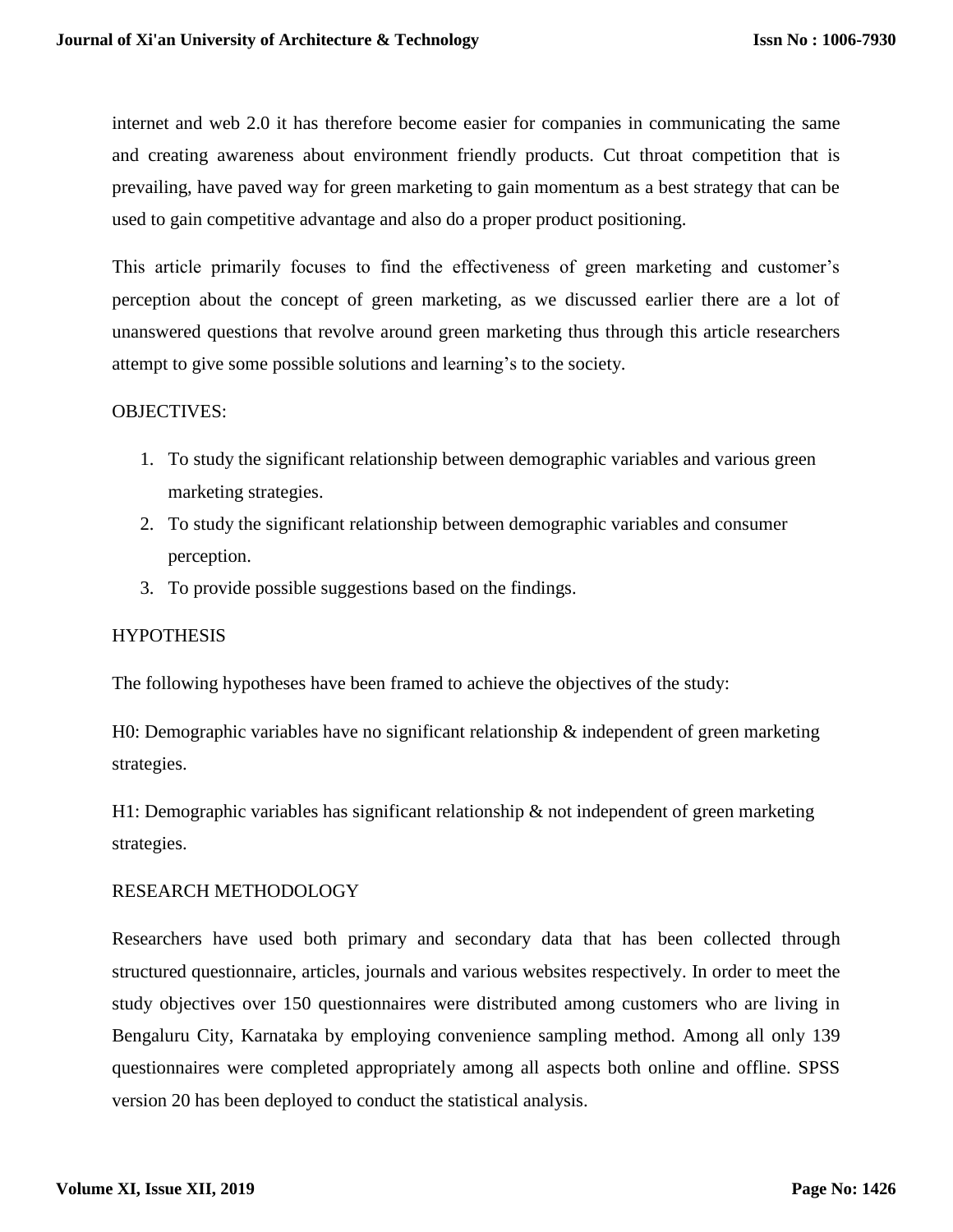internet and web 2.0 it has therefore become easier for companies in communicating the same and creating awareness about environment friendly products. Cut throat competition that is prevailing, have paved way for green marketing to gain momentum as a best strategy that can be used to gain competitive advantage and also do a proper product positioning.

This article primarily focuses to find the effectiveness of green marketing and customer's perception about the concept of green marketing, as we discussed earlier there are a lot of unanswered questions that revolve around green marketing thus through this article researchers attempt to give some possible solutions and learning's to the society.

# OBJECTIVES:

- 1. To study the significant relationship between demographic variables and various green marketing strategies.
- 2. To study the significant relationship between demographic variables and consumer perception.
- 3. To provide possible suggestions based on the findings.

# **HYPOTHESIS**

The following hypotheses have been framed to achieve the objectives of the study:

H0: Demographic variables have no significant relationship & independent of green marketing strategies.

H1: Demographic variables has significant relationship & not independent of green marketing strategies.

#### RESEARCH METHODOLOGY

Researchers have used both primary and secondary data that has been collected through structured questionnaire, articles, journals and various websites respectively. In order to meet the study objectives over 150 questionnaires were distributed among customers who are living in Bengaluru City, Karnataka by employing convenience sampling method. Among all only 139 questionnaires were completed appropriately among all aspects both online and offline. SPSS version 20 has been deployed to conduct the statistical analysis.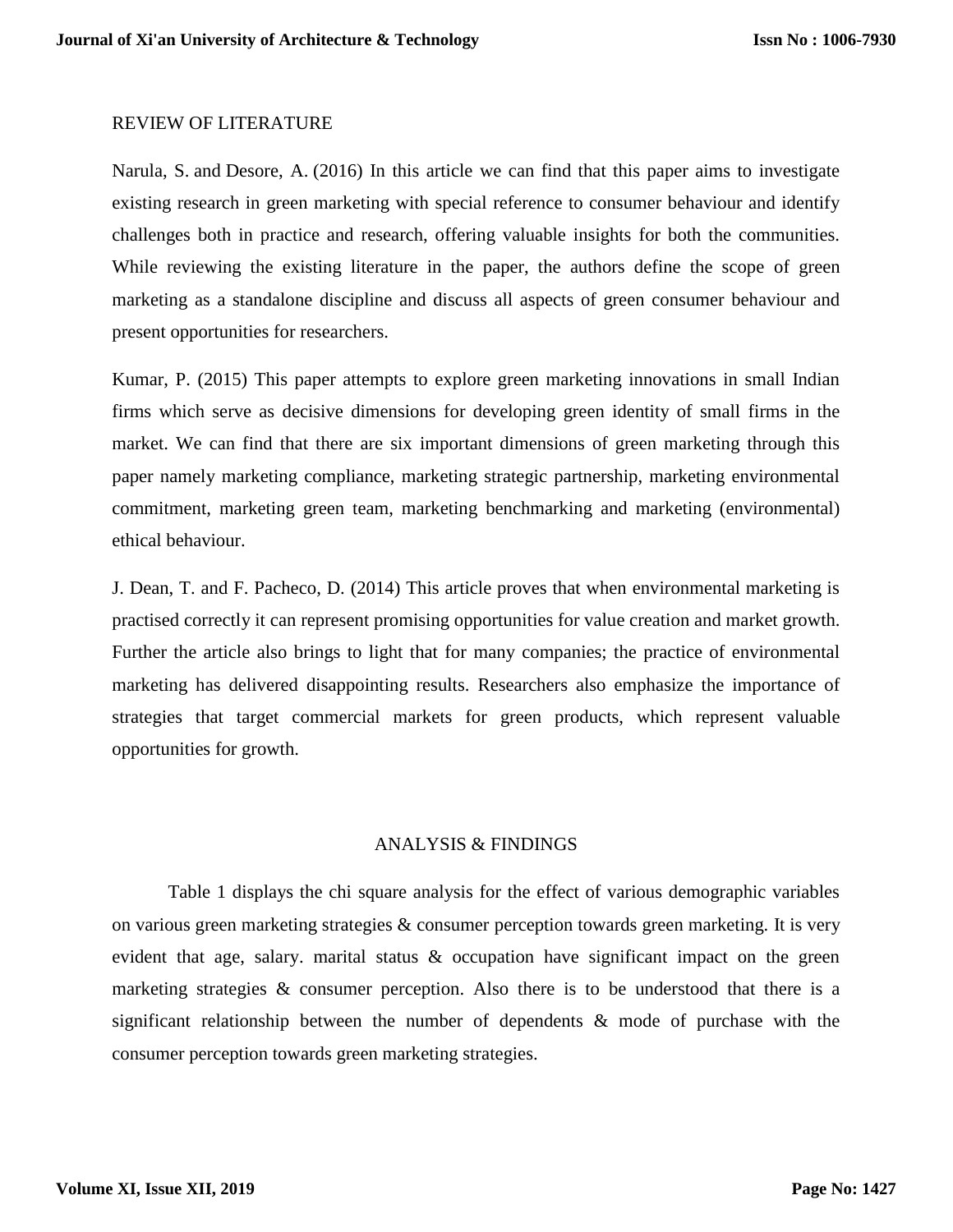#### REVIEW OF LITERATURE

[Narula, S.](https://www.emerald.com/insight/search?q=Sapna%20A.%20Narula) and [Desore, A.](https://www.emerald.com/insight/search?q=Anupriya%20Desore) (2016) In this article we can find that this paper aims to investigate existing research in green marketing with special reference to consumer behaviour and identify challenges both in practice and research, offering valuable insights for both the communities. While reviewing the existing literature in the paper, the authors define the scope of green marketing as a standalone discipline and discuss all aspects of green consumer behaviour and present opportunities for researchers.

Kumar, P. (2015) This paper attempts to explore green marketing innovations in small Indian firms which serve as decisive dimensions for developing green identity of small firms in the market. We can find that there are six important dimensions of green marketing through this paper namely marketing compliance, marketing strategic partnership, marketing environmental commitment, marketing green team, marketing benchmarking and marketing (environmental) ethical behaviour.

J. Dean, T. and F. Pacheco, D. (2014) This article proves that when environmental marketing is practised correctly it can represent promising opportunities for value creation and market growth. Further the article also brings to light that for many companies; the practice of environmental marketing has delivered disappointing results. Researchers also emphasize the importance of strategies that target commercial markets for green products, which represent valuable opportunities for growth.

#### ANALYSIS & FINDINGS

Table 1 displays the chi square analysis for the effect of various demographic variables on various green marketing strategies & consumer perception towards green marketing. It is very evident that age, salary. marital status & occupation have significant impact on the green marketing strategies & consumer perception. Also there is to be understood that there is a significant relationship between the number of dependents & mode of purchase with the consumer perception towards green marketing strategies.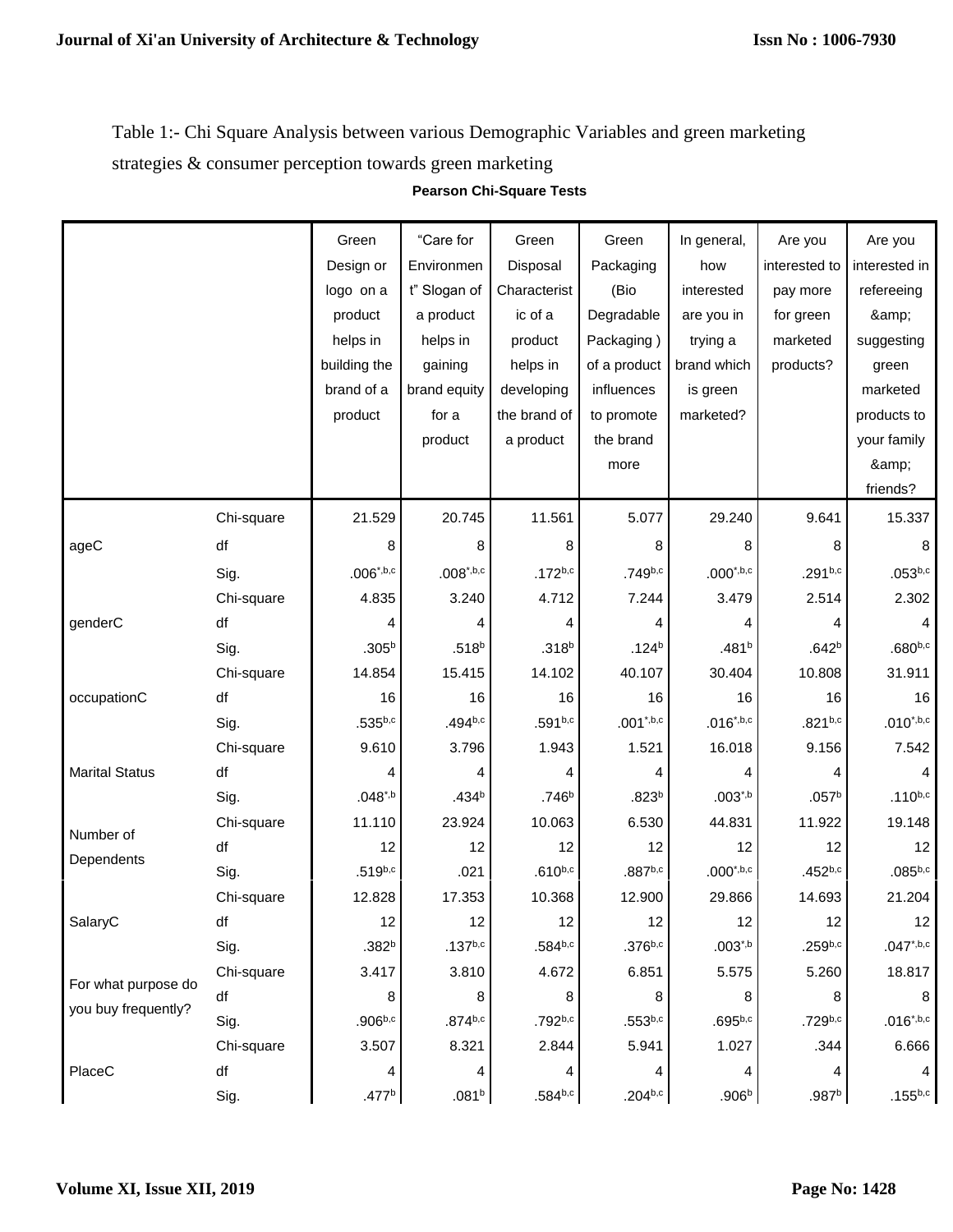Table 1:- Chi Square Analysis between various Demographic Variables and green marketing strategies & consumer perception towards green marketing

|                                            |            | Green             | "Care for         | Green             | Green                   | In general,       | Are you             | Are you        |
|--------------------------------------------|------------|-------------------|-------------------|-------------------|-------------------------|-------------------|---------------------|----------------|
|                                            |            | Design or         | Environmen        | Disposal          | Packaging               | how               | interested to       | interested in  |
|                                            |            | logo on a         | t" Slogan of      | Characterist      | (Bio                    | interested        | pay more            | refereeing     |
|                                            |            | product           | a product         | ic of a           | Degradable              | are you in        | for green           | &              |
|                                            |            | helps in          | helps in          | product           | Packaging)              | trying a          | marketed            | suggesting     |
|                                            |            | building the      | gaining           | helps in          | of a product            | brand which       | products?           | green          |
|                                            |            | brand of a        | brand equity      | developing        | influences              | is green          |                     | marketed       |
|                                            |            | product           | for a             | the brand of      | to promote              | marketed?         |                     | products to    |
|                                            |            |                   | product           | a product         | the brand               |                   |                     | your family    |
|                                            |            |                   |                   |                   | more                    |                   |                     | &              |
|                                            |            |                   |                   |                   |                         |                   |                     | friends?       |
|                                            | Chi-square | 21.529            | 20.745            | 11.561            | 5.077                   | 29.240            | 9.641               | 15.337         |
| ageC                                       | df         | 8                 | 8                 | 8                 | 8                       | 8                 | 8                   | 8              |
|                                            | Sig.       | $.006^{*,b,c}$    | $.008^{*,b,c}$    | $.172^{b,c}$      | .749b,c                 | $.000^{*,b,c}$    | $.291^{b,c}$        | $.053^{b,c}$   |
|                                            | Chi-square | 4.835             | 3.240             | 4.712             | 7.244                   | 3.479             | 2.514               | 2.302          |
| genderC                                    | df         | 4                 | 4                 | 4                 | 4                       | 4                 |                     |                |
|                                            | Sig.       | .305 <sup>b</sup> | .518 <sup>b</sup> | $.318^{b}$        | .124 <sup>b</sup>       | .481 <sup>b</sup> | .642 <sup>b</sup>   | $.680^{b,c}$   |
|                                            | Chi-square | 14.854            | 15.415            | 14.102            | 40.107                  | 30.404            | 10.808              | 31.911         |
| occupationC                                | df         | 16                | 16                | 16                | 16                      | 16                | 16                  | 16             |
|                                            | Sig.       | $.535^{b,c}$      | $.494^{b,c}$      | .591b,c           | $.001$ <sup>*,b,c</sup> | $.016^{*,b,c}$    | $.821^{b,c}$        | $.010^{*,b,c}$ |
|                                            | Chi-square | 9.610             | 3.796             | 1.943             | 1.521                   | 16.018            | 9.156               | 7.542          |
| <b>Marital Status</b>                      | df         | 4                 | 4                 |                   | 4                       | 4                 | 4                   |                |
|                                            | Sig.       | $.048^{*,b}$      | .434 <sup>b</sup> | .746 <sup>b</sup> | .823 <sup>b</sup>       | $.003^{*,b}$      | .057 <sup>b</sup>   | $.110^{b,c}$   |
| Number of<br>Dependents                    | Chi-square | 11.110            | 23.924            | 10.063            | 6.530                   | 44.831            | 11.922              | 19.148         |
|                                            | df         | 12                | 12                | 12                | 12                      | 12                | 12                  | 12             |
|                                            | Sig.       | $.519^{b,c}$      | .021              | $.610^{b,c}$      | $.887^{b,c}$            | $.000^{*,b,c}$    | $.452^{b,c}$        | $.085^{b,c}$   |
|                                            | Chi-square | 12.828            | 17.353            | 10.368            | 12.900                  | 29.866            | 14.693              | 21.204         |
| SalaryC                                    | df         | 12                | 12                | 12                | 12                      | 12                | 12                  | 12             |
|                                            | Sig.       | .382 <sup>b</sup> | $.137^{b,c}$      | $.584^{b,c}$      | $.376^{b,c}$            | $.003^{*,b}$      | .259 <sup>b,c</sup> | $.047^{*,b,c}$ |
| For what purpose do<br>you buy frequently? | Chi-square | 3.417             | 3.810             | 4.672             | 6.851                   | 5.575             | 5.260               | 18.817         |
|                                            | df         | 8                 | 8                 | 8                 | 8                       | 8                 | 8                   | 8              |
|                                            | Sig.       | $.906^{b,c}$      | $.874^{b,c}$      | .792b,c           | $.553^{b,c}$            | $.695^{b,c}$      | $.729^{b,c}$        | $.016^{*,b,c}$ |
|                                            | Chi-square | 3.507             | 8.321             | 2.844             | 5.941                   | 1.027             | .344                | 6.666          |
| PlaceC                                     | df         | 4                 | 4                 | 4                 | 4                       | 4                 | 4                   | $\overline{4}$ |
|                                            | Sig.       | .477 <sup>b</sup> | .081 <sup>b</sup> | $.584^{b,c}$      | $.204^{b,c}$            | .906 <sup>b</sup> | .987 <sup>b</sup>   | $.155^{b,c}$   |

**Pearson Chi-Square Tests**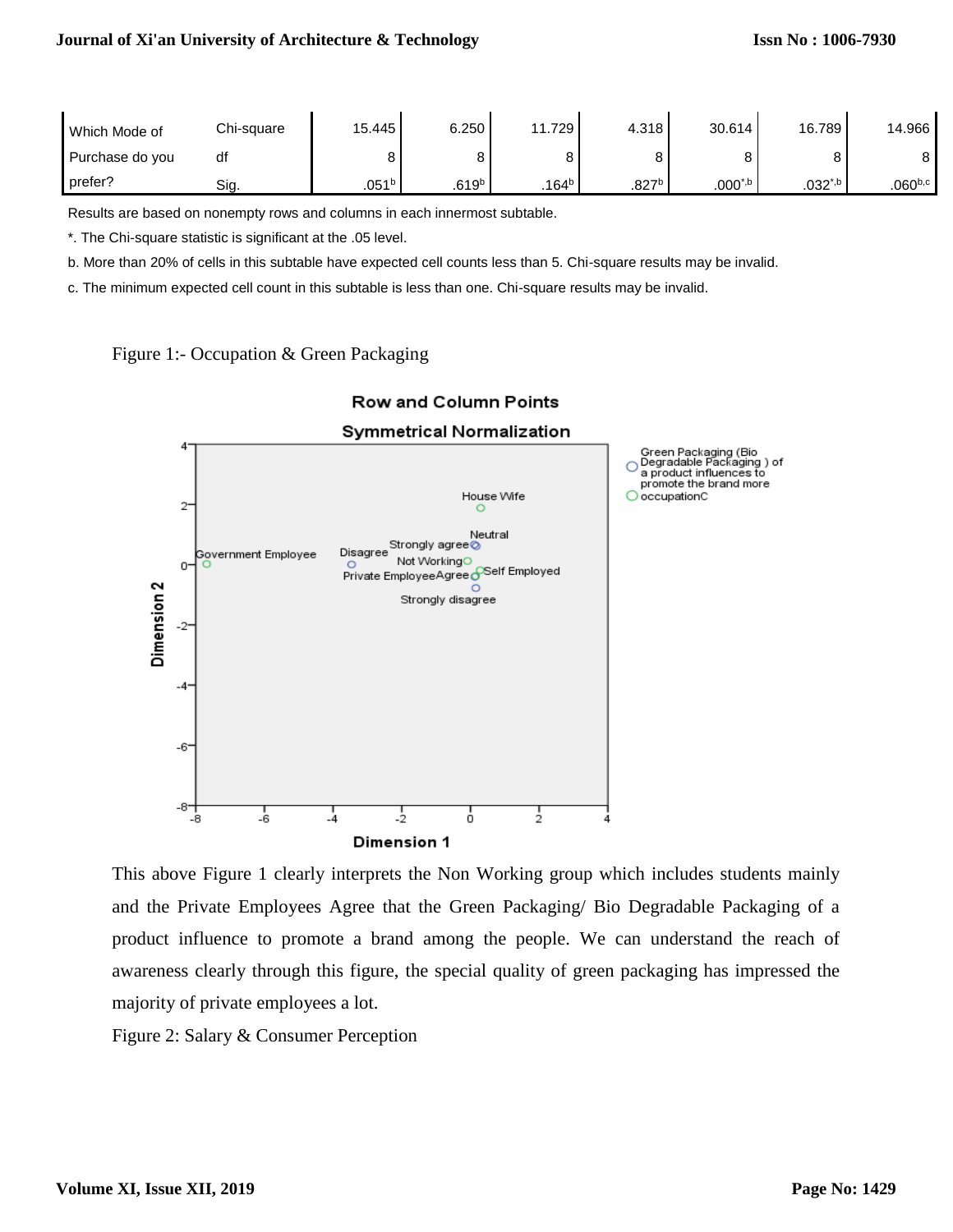| Which Mode of   | Chi-square | 15.445            | 6.250             | 1.729             | 4.318             | 30.614       | 16.789       | 14.966              |
|-----------------|------------|-------------------|-------------------|-------------------|-------------------|--------------|--------------|---------------------|
| Purchase do you |            |                   |                   |                   |                   |              |              | o                   |
| prefer?         | Sıa.       | .051 <sup>b</sup> | .619 <sup>b</sup> | .164 <sup>b</sup> | .827 <sup>b</sup> | $.000^{*,b}$ | $.032^{*,b}$ | .060 <sup>b,c</sup> |

Results are based on nonempty rows and columns in each innermost subtable.

\*. The Chi-square statistic is significant at the .05 level.

b. More than 20% of cells in this subtable have expected cell counts less than 5. Chi-square results may be invalid.

c. The minimum expected cell count in this subtable is less than one. Chi-square results may be invalid.





# Row and Column Points

This above Figure 1 clearly interprets the Non Working group which includes students mainly and the Private Employees Agree that the Green Packaging/ Bio Degradable Packaging of a product influence to promote a brand among the people. We can understand the reach of awareness clearly through this figure, the special quality of green packaging has impressed the majority of private employees a lot.

Figure 2: Salary & Consumer Perception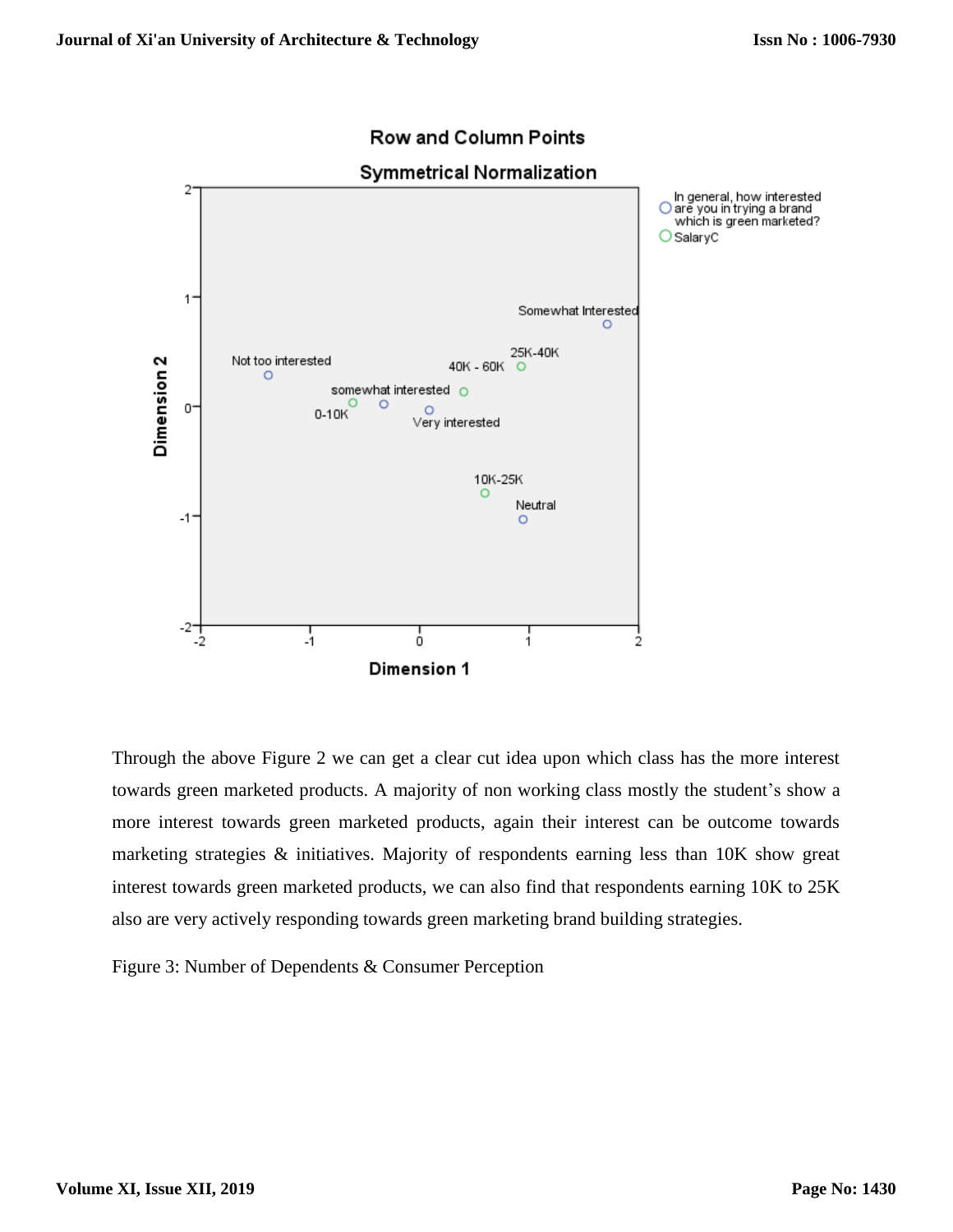

# **Row and Column Points**

Through the above Figure 2 we can get a clear cut idea upon which class has the more interest towards green marketed products. A majority of non working class mostly the student's show a more interest towards green marketed products, again their interest can be outcome towards marketing strategies & initiatives. Majority of respondents earning less than 10K show great interest towards green marketed products, we can also find that respondents earning 10K to 25K also are very actively responding towards green marketing brand building strategies.

Figure 3: Number of Dependents & Consumer Perception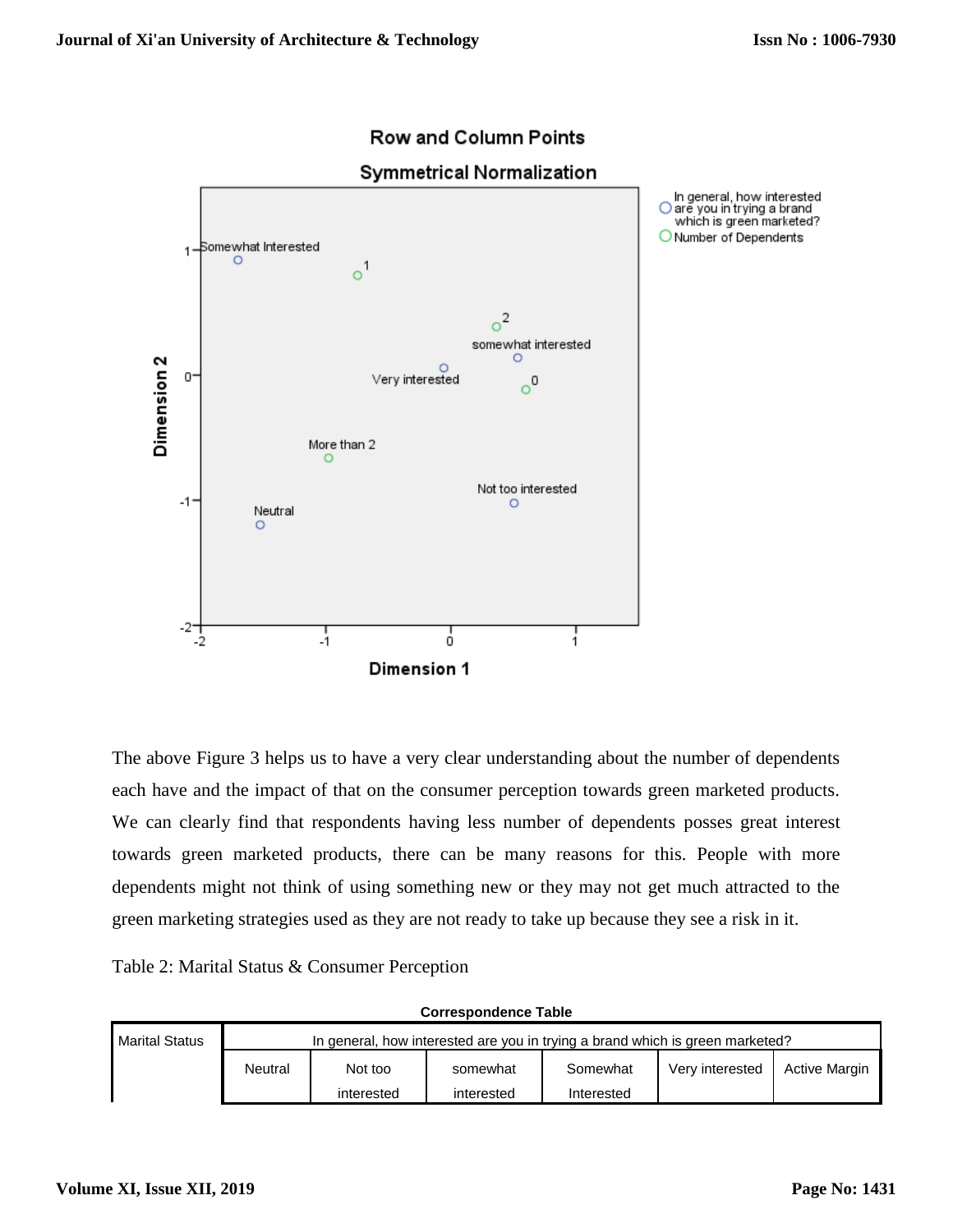

# **Row and Column Points**

The above Figure 3 helps us to have a very clear understanding about the number of dependents each have and the impact of that on the consumer perception towards green marketed products. We can clearly find that respondents having less number of dependents posses great interest towards green marketed products, there can be many reasons for this. People with more dependents might not think of using something new or they may not get much attracted to the green marketing strategies used as they are not ready to take up because they see a risk in it.

Table 2: Marital Status & Consumer Perception

| <b>Correspondence Table</b> |                                                                               |            |            |            |                 |                      |  |  |  |  |
|-----------------------------|-------------------------------------------------------------------------------|------------|------------|------------|-----------------|----------------------|--|--|--|--|
| <b>Marital Status</b>       | In general, how interested are you in trying a brand which is green marketed? |            |            |            |                 |                      |  |  |  |  |
|                             | Neutral                                                                       | Not too    | somewhat   | Somewhat   | Very interested | <b>Active Margin</b> |  |  |  |  |
|                             |                                                                               | interested | interested | Interested |                 |                      |  |  |  |  |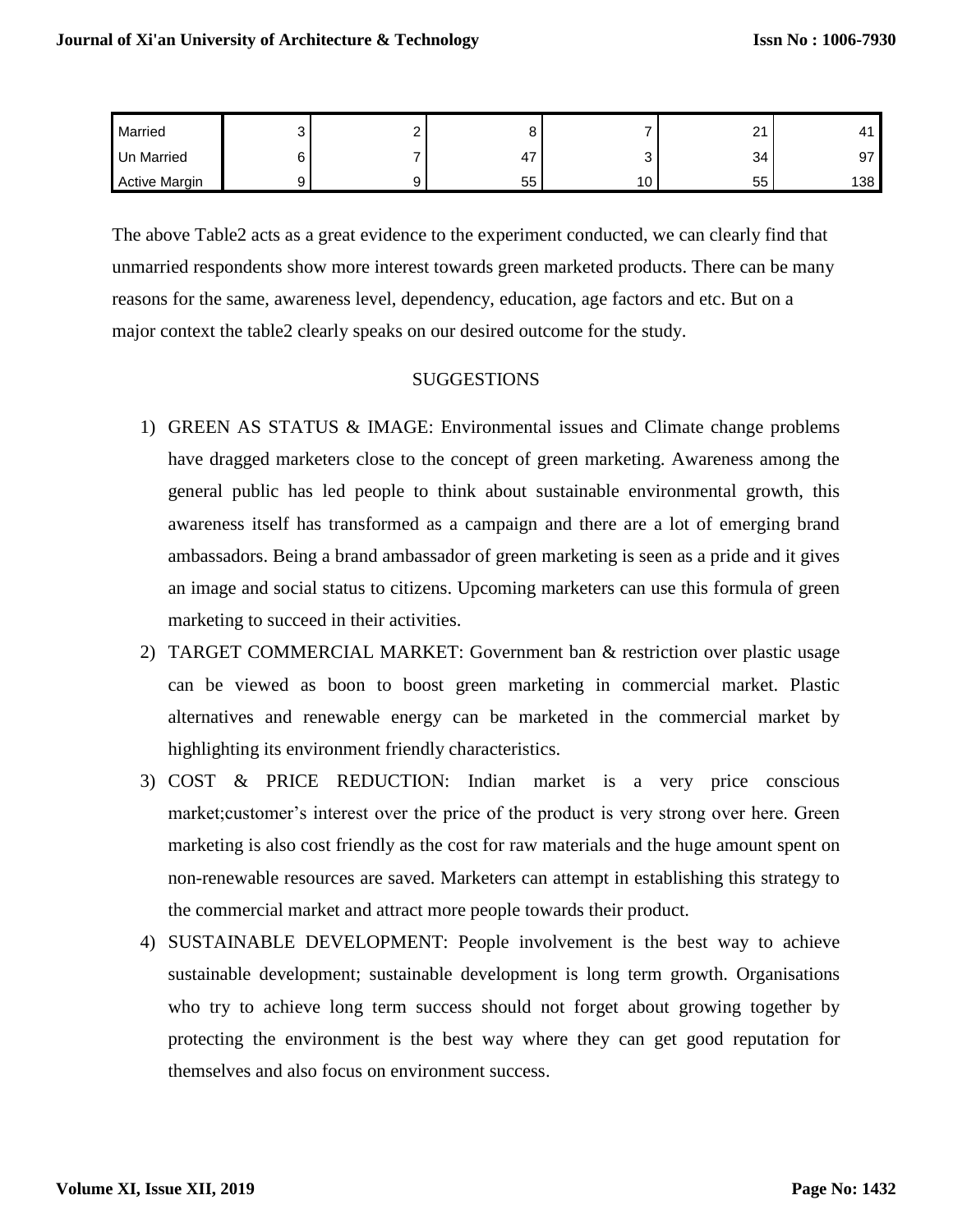| Married              | ັ | - |    |               | $\sim$<br><u>_</u> |         |
|----------------------|---|---|----|---------------|--------------------|---------|
| <b>Un Married</b>    | ີ |   | 4, | ັ             | 34                 | ᅐ<br>ັັ |
| <b>Active Margin</b> | ◡ |   | 55 | $\sim$<br>10. | $ -$<br>55         | 138     |

The above Table2 acts as a great evidence to the experiment conducted, we can clearly find that unmarried respondents show more interest towards green marketed products. There can be many reasons for the same, awareness level, dependency, education, age factors and etc. But on a major context the table2 clearly speaks on our desired outcome for the study.

#### **SUGGESTIONS**

- 1) GREEN AS STATUS & IMAGE: Environmental issues and Climate change problems have dragged marketers close to the concept of green marketing. Awareness among the general public has led people to think about sustainable environmental growth, this awareness itself has transformed as a campaign and there are a lot of emerging brand ambassadors. Being a brand ambassador of green marketing is seen as a pride and it gives an image and social status to citizens. Upcoming marketers can use this formula of green marketing to succeed in their activities.
- 2) TARGET COMMERCIAL MARKET: Government ban & restriction over plastic usage can be viewed as boon to boost green marketing in commercial market. Plastic alternatives and renewable energy can be marketed in the commercial market by highlighting its environment friendly characteristics.
- 3) COST & PRICE REDUCTION: Indian market is a very price conscious market;customer's interest over the price of the product is very strong over here. Green marketing is also cost friendly as the cost for raw materials and the huge amount spent on non-renewable resources are saved. Marketers can attempt in establishing this strategy to the commercial market and attract more people towards their product.
- 4) SUSTAINABLE DEVELOPMENT: People involvement is the best way to achieve sustainable development; sustainable development is long term growth. Organisations who try to achieve long term success should not forget about growing together by protecting the environment is the best way where they can get good reputation for themselves and also focus on environment success.